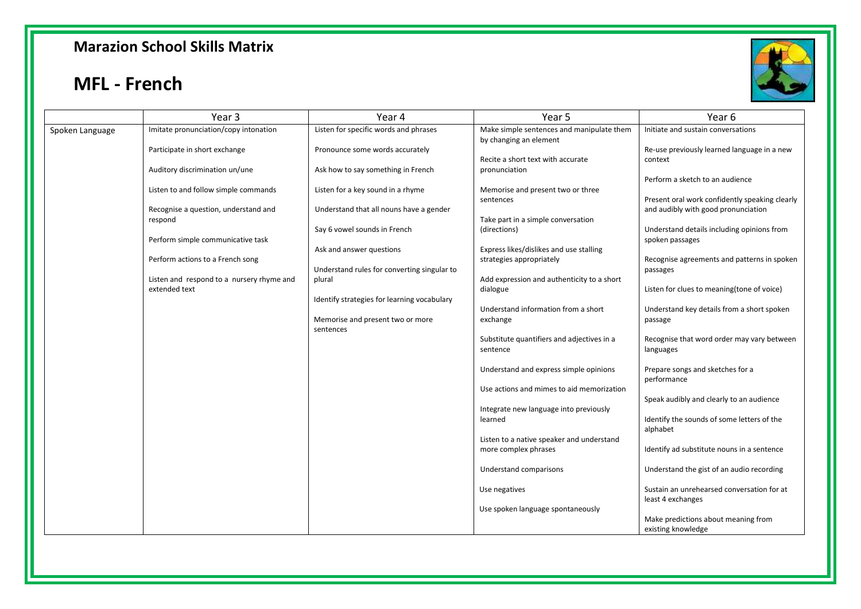#### **Marazion School Skills Matrix**

### **MFL - French**



|                 | Year 3                                                     | Year 4                                                | Year 5                                                              | Year 6                                                          |
|-----------------|------------------------------------------------------------|-------------------------------------------------------|---------------------------------------------------------------------|-----------------------------------------------------------------|
| Spoken Language | Imitate pronunciation/copy intonation                      | Listen for specific words and phrases                 | Make simple sentences and manipulate them<br>by changing an element | Initiate and sustain conversations                              |
|                 | Participate in short exchange                              | Pronounce some words accurately                       |                                                                     | Re-use previously learned language in a new                     |
|                 | Auditory discrimination un/une                             | Ask how to say something in French                    | Recite a short text with accurate<br>pronunciation                  | context<br>Perform a sketch to an audience                      |
|                 | Listen to and follow simple commands                       | Listen for a key sound in a rhyme                     | Memorise and present two or three<br>sentences                      | Present oral work confidently speaking clearly                  |
|                 | Recognise a question, understand and<br>respond            | Understand that all nouns have a gender               | Take part in a simple conversation                                  | and audibly with good pronunciation                             |
|                 | Perform simple communicative task                          | Say 6 vowel sounds in French                          | (directions)                                                        | Understand details including opinions from<br>spoken passages   |
|                 | Perform actions to a French song                           | Ask and answer questions                              | Express likes/dislikes and use stalling<br>strategies appropriately | Recognise agreements and patterns in spoken                     |
|                 | Listen and respond to a nursery rhyme and<br>extended text | Understand rules for converting singular to<br>plural | Add expression and authenticity to a short<br>dialogue              | passages<br>Listen for clues to meaning (tone of voice)         |
|                 |                                                            | Identify strategies for learning vocabulary           | Understand information from a short                                 | Understand key details from a short spoken                      |
|                 |                                                            | Memorise and present two or more<br>sentences         | exchange                                                            | passage                                                         |
|                 |                                                            |                                                       | Substitute quantifiers and adjectives in a<br>sentence              | Recognise that word order may vary between<br>languages         |
|                 |                                                            |                                                       | Understand and express simple opinions                              | Prepare songs and sketches for a<br>performance                 |
|                 |                                                            |                                                       | Use actions and mimes to aid memorization                           | Speak audibly and clearly to an audience                        |
|                 |                                                            |                                                       | Integrate new language into previously<br>learned                   | Identify the sounds of some letters of the<br>alphabet          |
|                 |                                                            |                                                       | Listen to a native speaker and understand<br>more complex phrases   | Identify ad substitute nouns in a sentence                      |
|                 |                                                            |                                                       | Understand comparisons                                              | Understand the gist of an audio recording                       |
|                 |                                                            |                                                       | Use negatives                                                       | Sustain an unrehearsed conversation for at<br>least 4 exchanges |
|                 |                                                            |                                                       | Use spoken language spontaneously                                   | Make predictions about meaning from<br>existing knowledge       |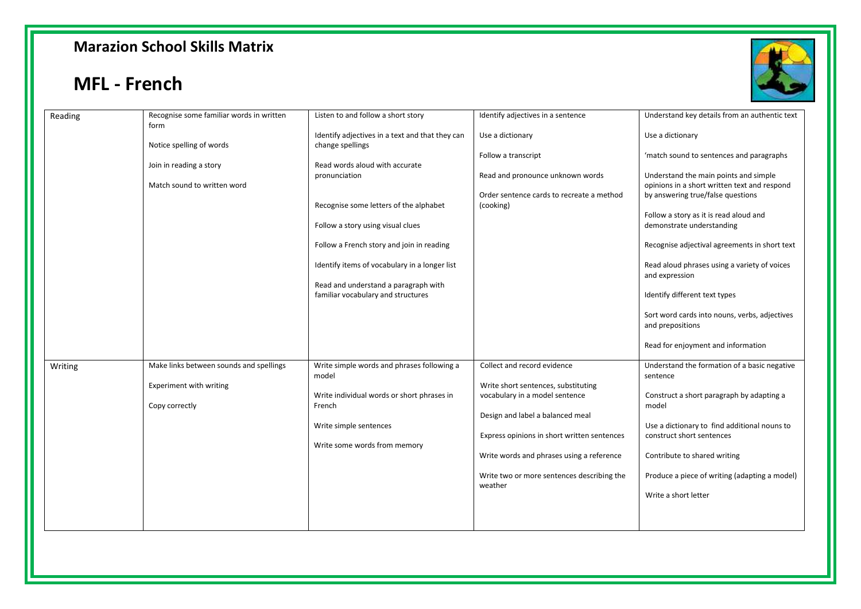### **Marazion School Skills Matrix**

# **MFL - French**



|         |                                                  | Listen to and follow a short story              |                                             | Understand key details from an authentic text                             |
|---------|--------------------------------------------------|-------------------------------------------------|---------------------------------------------|---------------------------------------------------------------------------|
| Reading | Recognise some familiar words in written<br>form |                                                 | Identify adjectives in a sentence           |                                                                           |
|         |                                                  | Identify adjectives in a text and that they can | Use a dictionary                            | Use a dictionary                                                          |
|         | Notice spelling of words                         | change spellings                                |                                             |                                                                           |
|         |                                                  |                                                 | Follow a transcript                         | 'match sound to sentences and paragraphs                                  |
|         | Join in reading a story                          | Read words aloud with accurate                  |                                             |                                                                           |
|         |                                                  | pronunciation                                   | Read and pronounce unknown words            | Understand the main points and simple                                     |
|         | Match sound to written word                      |                                                 |                                             | opinions in a short written text and respond                              |
|         |                                                  |                                                 | Order sentence cards to recreate a method   | by answering true/false questions                                         |
|         |                                                  | Recognise some letters of the alphabet          | (cooking)                                   |                                                                           |
|         |                                                  |                                                 |                                             | Follow a story as it is read aloud and                                    |
|         |                                                  | Follow a story using visual clues               |                                             | demonstrate understanding                                                 |
|         |                                                  |                                                 |                                             |                                                                           |
|         |                                                  | Follow a French story and join in reading       |                                             | Recognise adjectival agreements in short text                             |
|         |                                                  |                                                 |                                             |                                                                           |
|         |                                                  | Identify items of vocabulary in a longer list   |                                             | Read aloud phrases using a variety of voices<br>and expression            |
|         |                                                  | Read and understand a paragraph with            |                                             |                                                                           |
|         |                                                  | familiar vocabulary and structures              |                                             | Identify different text types                                             |
|         |                                                  |                                                 |                                             |                                                                           |
|         |                                                  |                                                 |                                             | Sort word cards into nouns, verbs, adjectives                             |
|         |                                                  |                                                 |                                             | and prepositions                                                          |
|         |                                                  |                                                 |                                             |                                                                           |
|         |                                                  |                                                 |                                             | Read for enjoyment and information                                        |
|         |                                                  |                                                 |                                             |                                                                           |
| Writing | Make links between sounds and spellings          | Write simple words and phrases following a      | Collect and record evidence                 | Understand the formation of a basic negative                              |
|         |                                                  | model                                           |                                             | sentence                                                                  |
|         | Experiment with writing                          |                                                 | Write short sentences, substituting         |                                                                           |
|         |                                                  | Write individual words or short phrases in      | vocabulary in a model sentence              | Construct a short paragraph by adapting a                                 |
|         | Copy correctly                                   | French                                          |                                             | model                                                                     |
|         |                                                  |                                                 | Design and label a balanced meal            |                                                                           |
|         |                                                  | Write simple sentences                          |                                             | Use a dictionary to find additional nouns to<br>construct short sentences |
|         |                                                  | Write some words from memory                    | Express opinions in short written sentences |                                                                           |
|         |                                                  |                                                 | Write words and phrases using a reference   | Contribute to shared writing                                              |
|         |                                                  |                                                 |                                             |                                                                           |
|         |                                                  |                                                 | Write two or more sentences describing the  | Produce a piece of writing (adapting a model)                             |
|         |                                                  |                                                 | weather                                     |                                                                           |
|         |                                                  |                                                 |                                             | Write a short letter                                                      |
|         |                                                  |                                                 |                                             |                                                                           |
|         |                                                  |                                                 |                                             |                                                                           |
|         |                                                  |                                                 |                                             |                                                                           |